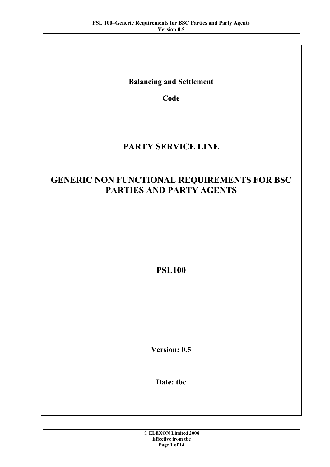# **Balancing and Settlement**

**Code**

# **PARTY SERVICE LINE**

# **GENERIC NON FUNCTIONAL REQUIREMENTS FOR BSC PARTIES AND PARTY AGENTS**

**PSL100**

**Version: 0.5**

**Date: tbc**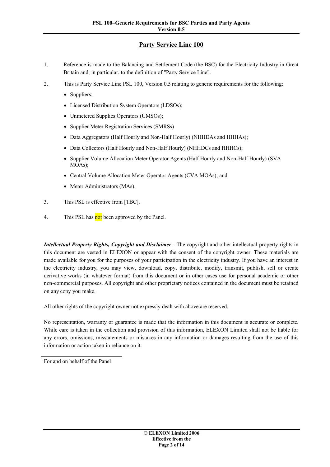# **Party Service Line 100**

- 1. Reference is made to the Balancing and Settlement Code (the BSC) for the Electricity Industry in Great Britain and, in particular, to the definition of "Party Service Line".
- 2. This is Party Service Line PSL 100, Version 0.5 relating to generic requirements for the following:
	- Suppliers;
	- · Licensed Distribution System Operators (LDSOs);
	- · Unmetered Supplies Operators (UMSOs);
	- · Supplier Meter Registration Services (SMRSs)
	- Data Aggregators (Half Hourly and Non-Half Hourly) (NHHDAs and HHHAs);
	- Data Collectors (Half Hourly and Non-Half Hourly) (NHHDCs and HHHCs);
	- · Supplier Volume Allocation Meter Operator Agents (Half Hourly and Non-Half Hourly) (SVA MOAs);
	- Central Volume Allocation Meter Operator Agents (CVA MOAs); and
	- Meter Administrators (MAs).
- 3. This PSL is effective from [TBC].
- 4. This PSL has **not** been approved by the Panel.

*Intellectual Property Rights, Copyright and Disclaimer -* The copyright and other intellectual property rights in this document are vested in ELEXON or appear with the consent of the copyright owner. These materials are made available for you for the purposes of your participation in the electricity industry. If you have an interest in the electricity industry, you may view, download, copy, distribute, modify, transmit, publish, sell or create derivative works (in whatever format) from this document or in other cases use for personal academic or other non-commercial purposes. All copyright and other proprietary notices contained in the document must be retained on any copy you make.

All other rights of the copyright owner not expressly dealt with above are reserved.

No representation, warranty or guarantee is made that the information in this document is accurate or complete. While care is taken in the collection and provision of this information, ELEXON Limited shall not be liable for any errors, omissions, misstatements or mistakes in any information or damages resulting from the use of this information or action taken in reliance on it.

For and on behalf of the Panel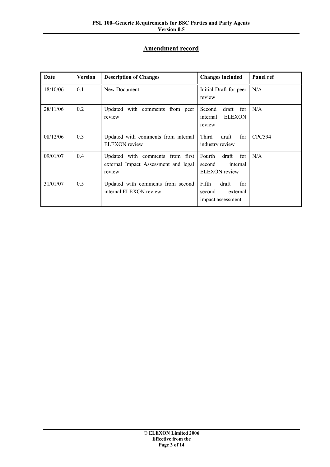# **Amendment record**

| Date     | <b>Version</b> | <b>Description of Changes</b>                                                      | <b>Changes included</b>                                              | Panel ref     |
|----------|----------------|------------------------------------------------------------------------------------|----------------------------------------------------------------------|---------------|
| 18/10/06 | 0.1            | New Document                                                                       | Initial Draft for peer<br>review                                     | N/A           |
| 28/11/06 | 0.2            | Updated with comments from peer<br>review                                          | draft<br>Second<br>for<br><b>ELEXON</b><br>internal<br>review        | N/A           |
| 08/12/06 | 0.3            | Updated with comments from internal<br>ELEXON review                               | Third<br>draft<br>for<br>industry review                             | <b>CPC594</b> |
| 09/01/07 | 0.4            | Updated with comments from first<br>external Impact Assessment and legal<br>review | for<br>Fourth<br>draft<br>second<br>internal<br><b>ELEXON</b> review | N/A           |
| 31/01/07 | 0.5            | Updated with comments from second<br>internal ELEXON review                        | Fifth<br>draft<br>for<br>second<br>external<br>impact assessment     |               |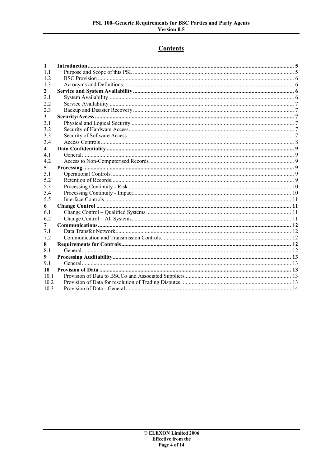# **Contents**

| 1    |  |
|------|--|
| 1.1  |  |
| 1.2  |  |
| 1.3  |  |
| 2    |  |
| 2.1  |  |
| 22   |  |
| 2.3  |  |
| 3    |  |
| 3.1  |  |
| 3.2  |  |
| 3.3  |  |
| 3.4  |  |
| 4    |  |
| 41   |  |
| 4.2  |  |
| 5    |  |
| 5.1  |  |
| 5.2  |  |
| 5.3  |  |
| 5.4  |  |
| 5.5  |  |
| 6    |  |
| 6.1  |  |
| 6.2  |  |
| 7    |  |
| 7.1  |  |
| 7.2  |  |
| 8    |  |
| 8.1  |  |
| 9    |  |
| 9.1  |  |
| 10   |  |
| 10.1 |  |
| 10.2 |  |
| 10.3 |  |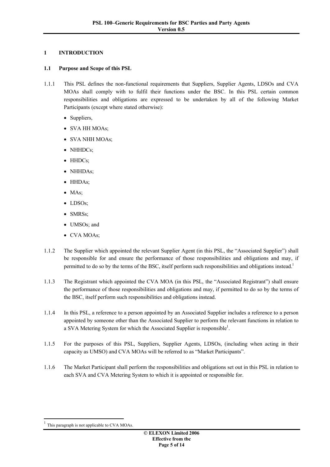### <span id="page-4-0"></span>**1 INTRODUCTION**

#### <span id="page-4-1"></span>**1.1 Purpose and Scope of this PSL**

- 1.1.1 This PSL defines the non-functional requirements that Suppliers, Supplier Agents, LDSOs and CVA MOAs shall comply with to fulfil their functions under the BSC. In this PSL certain common responsibilities and obligations are expressed to be undertaken by all of the following Market Participants (except where stated otherwise):
	- Suppliers,
	- · SVA HH MOAs;
	- · SVA NHH MOAs;
	- NHHDCs:
	- HHDCs;
	- · NHHDAs;
	- · HHDAs;
	- MAs;
	- · LDSOs;
	- · SMRSs;
	- UMSOs; and
	- · CVA MOAs;
- 1.1.2 The Supplier which appointed the relevant Supplier Agent (in this PSL, the "Associated Supplier") shall be responsible for and ensure the performance of those responsibilities and obligations and may, if permitted to do so by the terms of the BSC, itself perform such responsibilities and obligations instead.<sup>[1](#page-4-2)</sup>
- 1.1.3 The Registrant which appointed the CVA MOA (in this PSL, the "Associated Registrant") shall ensure the performance of those responsibilities and obligations and may, if permitted to do so by the terms of the BSC, itself perform such responsibilities and obligations instead.
- 1.1.4 In this PSL, a reference to a person appointed by an Associated Supplier includes a reference to a person appointed by someone other than the Associated Supplier to perform the relevant functions in relation to a SVA Metering System for which the Associated Supplier is responsible<sup>1</sup>.
- 1.1.5 For the purposes of this PSL, Suppliers, Supplier Agents, LDSOs, (including when acting in their capacity as UMSO) and CVA MOAs will be referred to as "Market Participants".
- 1.1.6 The Market Participant shall perform the responsibilities and obligations set out in this PSL in relation to each SVA and CVA Metering System to which it is appointed or responsible for.

<span id="page-4-2"></span><sup>1</sup> This paragraph is not applicable to CVA MOAs.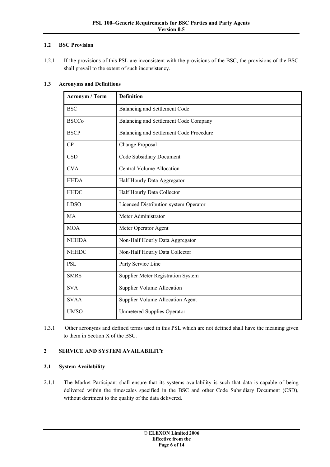#### <span id="page-5-0"></span>**1.2 BSC Provision**

1.2.1 If the provisions of this PSL are inconsistent with the provisions of the BSC, the provisions of the BSC shall prevail to the extent of such inconsistency.

| <b>Acronym / Term</b> | <b>Definition</b>                       |
|-----------------------|-----------------------------------------|
| <b>BSC</b>            | Balancing and Settlement Code           |
| <b>BSCCo</b>          | Balancing and Settlement Code Company   |
| <b>BSCP</b>           | Balancing and Settlement Code Procedure |
| CP                    | Change Proposal                         |
| <b>CSD</b>            | Code Subsidiary Document                |
| <b>CVA</b>            | <b>Central Volume Allocation</b>        |
| <b>HHDA</b>           | Half Hourly Data Aggregator             |
| <b>HHDC</b>           | Half Hourly Data Collector              |
| <b>LDSO</b>           | Licenced Distribution system Operator   |
| MA                    | Meter Administrator                     |
| <b>MOA</b>            | Meter Operator Agent                    |
| <b>NHHDA</b>          | Non-Half Hourly Data Aggregator         |
| <b>NHHDC</b>          | Non-Half Hourly Data Collector          |
| <b>PSL</b>            | Party Service Line                      |
| <b>SMRS</b>           | Supplier Meter Registration System      |
| <b>SVA</b>            | <b>Supplier Volume Allocation</b>       |
| <b>SVAA</b>           | <b>Supplier Volume Allocation Agent</b> |
| <b>UMSO</b>           | <b>Unmetered Supplies Operator</b>      |

#### <span id="page-5-1"></span>**1.3 Acronyms and Definitions**

1.3.1 Other acronyms and defined terms used in this PSL which are not defined shall have the meaning given to them in Section X of the BSC.

## <span id="page-5-2"></span>**2 SERVICE AND SYSTEM AVAILABILITY**

#### <span id="page-5-3"></span>**2.1 System Availability**

2.1.1 The Market Participant shall ensure that its systems availability is such that data is capable of being delivered within the timescales specified in the BSC and other Code Subsidiary Document (CSD), without detriment to the quality of the data delivered.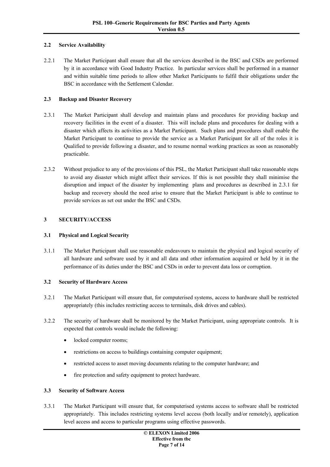#### <span id="page-6-0"></span>**2.2 Service Availability**

2.2.1 The Market Participant shall ensure that all the services described in the BSC and CSDs are performed by it in accordance with Good Industry Practice. In particular services shall be performed in a manner and within suitable time periods to allow other Market Participants to fulfil their obligations under the BSC in accordance with the Settlement Calendar.

#### <span id="page-6-1"></span>**2.3 Backup and Disaster Recovery**

- 2.3.1 The Market Participant shall develop and maintain plans and procedures for providing backup and recovery facilities in the event of a disaster. This will include plans and procedures for dealing with a disaster which affects its activities as a Market Participant. Such plans and procedures shall enable the Market Participant to continue to provide the service as a Market Participant for all of the roles it is Qualified to provide following a disaster, and to resume normal working practices as soon as reasonably practicable.
- 2.3.2 Without prejudice to any of the provisions of this PSL, the Market Participant shall take reasonable steps to avoid any disaster which might affect their services. If this is not possible they shall minimise the disruption and impact of the disaster by implementing plans and procedures as described in 2.3.1 for backup and recovery should the need arise to ensure that the Market Participant is able to continue to provide services as set out under the BSC and CSDs.

#### <span id="page-6-2"></span>**3 SECURITY/ACCESS**

#### <span id="page-6-3"></span>**3.1 Physical and Logical Security**

3.1.1 The Market Participant shall use reasonable endeavours to maintain the physical and logical security of all hardware and software used by it and all data and other information acquired or held by it in the performance of its duties under the BSC and CSDs in order to prevent data loss or corruption.

#### <span id="page-6-4"></span>**3.2 Security of Hardware Access**

- 3.2.1 The Market Participant will ensure that, for computerised systems, access to hardware shall be restricted appropriately (this includes restricting access to terminals, disk drives and cables).
- 3.2.2 The security of hardware shall be monitored by the Market Participant, using appropriate controls. It is expected that controls would include the following:
	- locked computer rooms;
	- restrictions on access to buildings containing computer equipment;
	- · restricted access to asset moving documents relating to the computer hardware; and
	- fire protection and safety equipment to protect hardware.

#### <span id="page-6-5"></span>**3.3 Security of Software Access**

3.3.1 The Market Participant will ensure that, for computerised systems access to software shall be restricted appropriately. This includes restricting systems level access (both locally and/or remotely), application level access and access to particular programs using effective passwords.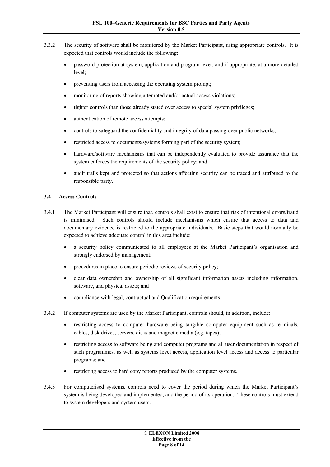- 3.3.2 The security of software shall be monitored by the Market Participant, using appropriate controls. It is expected that controls would include the following:
	- · password protection at system, application and program level, and if appropriate, at a more detailed level;
	- preventing users from accessing the operating system prompt:
	- monitoring of reports showing attempted and/or actual access violations:
	- tighter controls than those already stated over access to special system privileges;
	- authentication of remote access attempts:
	- · controls to safeguard the confidentiality and integrity of data passing over public networks;
	- restricted access to documents/systems forming part of the security system;
	- hardware/software mechanisms that can be independently evaluated to provide assurance that the system enforces the requirements of the security policy; and
	- audit trails kept and protected so that actions affecting security can be traced and attributed to the responsible party.

#### <span id="page-7-0"></span>**3.4 Access Controls**

- 3.4.1 The Market Participant will ensure that, controls shall exist to ensure that risk of intentional errors/fraud is minimised. Such controls should include mechanisms which ensure that access to data and documentary evidence is restricted to the appropriate individuals. Basic steps that would normally be expected to achieve adequate control in this area include:
	- a security policy communicated to all employees at the Market Participant's organisation and strongly endorsed by management;
	- · procedures in place to ensure periodic reviews of security policy;
	- · clear data ownership and ownership of all significant information assets including information, software, and physical assets; and
	- compliance with legal, contractual and Qualification requirements.
- 3.4.2 If computer systems are used by the Market Participant, controls should, in addition, include:
	- · restricting access to computer hardware being tangible computer equipment such as terminals, cables, disk drives, servers, disks and magnetic media (e.g. tapes);
	- restricting access to software being and computer programs and all user documentation in respect of such programmes, as well as systems level access, application level access and access to particular programs; and
	- restricting access to hard copy reports produced by the computer systems.
- 3.4.3 For computerised systems, controls need to cover the period during which the Market Participant's system is being developed and implemented, and the period of its operation. These controls must extend to system developers and system users.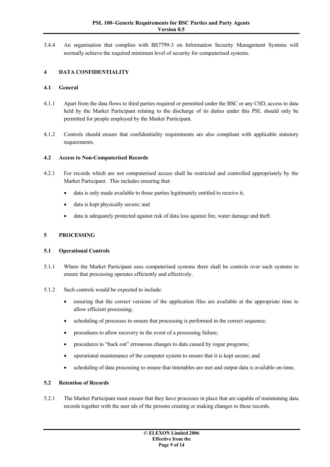3.4.4 An organisation that complies with BS7799-3 on Information Security Management Systems will normally achieve the required minimum level of security for computerised systems.

## <span id="page-8-0"></span>**4 DATA CONFIDENTIALITY**

#### <span id="page-8-1"></span>**4.1 General**

- 4.1.1 Apart from the data flows to third parties required or permitted under the BSC or any CSD, access to data held by the Market Participant relating to the discharge of its duties under this PSL should only be permitted for people employed by the Market Participant.
- 4.1.2 Controls should ensure that confidentiality requirements are also compliant with applicable statutory requirements.

#### <span id="page-8-2"></span>**4.2 Access to Non-Computerised Records**

- 4.2.1 For records which are not computerised access shall be restricted and controlled appropriately by the Market Participant. This includes ensuring that:
	- data is only made available to those parties legitimately entitled to receive it;
	- data is kept physically secure; and
	- data is adequately protected against risk of data loss against fire, water damage and theft.

#### <span id="page-8-3"></span>**5 PROCESSING**

#### <span id="page-8-4"></span>**5.1 Operational Controls**

- 5.1.1 Where the Market Participant uses computerised systems there shall be controls over such systems to ensure that processing operates efficiently and effectively.
- 5.1.2 Such controls would be expected to include:
	- · ensuring that the correct versions of the application files are available at the appropriate time to allow efficient processing;
	- scheduling of processes to ensure that processing is performed in the correct sequence;
	- procedures to allow recovery in the event of a processing failure;
	- procedures to "back out" erroneous changes to data caused by rogue programs;
	- operational maintenance of the computer system to ensure that it is kept secure; and
	- · scheduling of data processing to ensure that timetables are met and output data is available on-time.

#### <span id="page-8-5"></span>**5.2 Retention of Records**

5.2.1 The Market Participant must ensure that they have processes in place that are capable of maintaining data records together with the user ids of the persons creating or making changes to these records.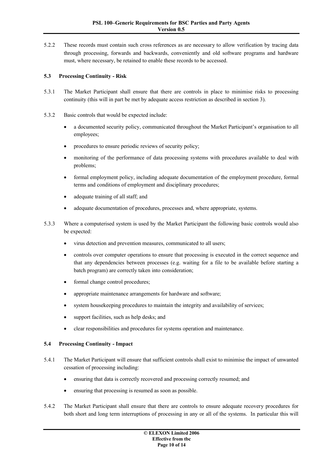5.2.2 These records must contain such cross references as are necessary to allow verification by tracing data through processing, forwards and backwards, conveniently and old software programs and hardware must, where necessary, be retained to enable these records to be accessed.

#### <span id="page-9-0"></span>**5.3 Processing Continuity - Risk**

- 5.3.1 The Market Participant shall ensure that there are controls in place to minimise risks to processing continuity (this will in part be met by adequate access restriction as described in section [3\)](#page-6-2).
- 5.3.2 Basic controls that would be expected include:
	- · a documented security policy, communicated throughout the Market Participant's organisation to all employees;
	- procedures to ensure periodic reviews of security policy;
	- monitoring of the performance of data processing systems with procedures available to deal with problems;
	- formal employment policy, including adequate documentation of the employment procedure, formal terms and conditions of employment and disciplinary procedures;
	- adequate training of all staff; and
	- adequate documentation of procedures, processes and, where appropriate, systems.
- 5.3.3 Where a computerised system is used by the Market Participant the following basic controls would also be expected:
	- virus detection and prevention measures, communicated to all users;
	- controls over computer operations to ensure that processing is executed in the correct sequence and that any dependencies between processes (e.g. waiting for a file to be available before starting a batch program) are correctly taken into consideration;
	- formal change control procedures;
	- appropriate maintenance arrangements for hardware and software;
	- system housekeeping procedures to maintain the integrity and availability of services;
	- support facilities, such as help desks; and
	- clear responsibilities and procedures for systems operation and maintenance.

#### <span id="page-9-1"></span>**5.4 Processing Continuity - Impact**

- 5.4.1 The Market Participant will ensure that sufficient controls shall exist to minimise the impact of unwanted cessation of processing including:
	- ensuring that data is correctly recovered and processing correctly resumed; and
	- ensuring that processing is resumed as soon as possible.
- 5.4.2 The Market Participant shall ensure that there are controls to ensure adequate recovery procedures for both short and long term interruptions of processing in any or all of the systems. In particular this will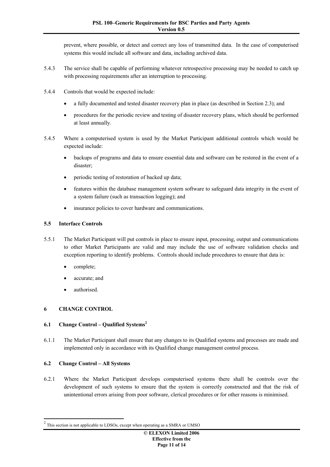prevent, where possible, or detect and correct any loss of transmitted data. In the case of computerised systems this would include all software and data, including archived data.

- 5.4.3 The service shall be capable of performing whatever retrospective processing may be needed to catch up with processing requirements after an interruption to processing.
- 5.4.4 Controls that would be expected include:
	- · a fully documented and tested disaster recovery plan in place (as described in Section 2.3); and
	- · procedures for the periodic review and testing of disaster recovery plans, which should be performed at least annually.
- 5.4.5 Where a computerised system is used by the Market Participant additional controls which would be expected include:
	- backups of programs and data to ensure essential data and software can be restored in the event of a disaster;
	- periodic testing of restoration of backed up data;
	- features within the database management system software to safeguard data integrity in the event of a system failure (such as transaction logging); and
	- insurance policies to cover hardware and communications.

#### <span id="page-10-0"></span>**5.5 Interface Controls**

- 5.5.1 The Market Participant will put controls in place to ensure input, processing, output and communications to other Market Participants are valid and may include the use of software validation checks and exception reporting to identify problems. Controls should include procedures to ensure that data is:
	- complete:
	- accurate; and
	- authorised.

#### <span id="page-10-1"></span>**6 CHANGE CONTROL**

#### <span id="page-10-2"></span>**6.1 Change Control – Qualified Systems[2](#page-10-4)**

6.1.1 The Market Participant shall ensure that any changes to its Qualified systems and processes are made and implemented only in accordance with its Qualified change management control process.

#### <span id="page-10-3"></span>**6.2 Change Control – All Systems**

6.2.1 Where the Market Participant develops computerised systems there shall be controls over the development of such systems to ensure that the system is correctly constructed and that the risk of unintentional errors arising from poor software, clerical procedures or for other reasons is minimised.

<span id="page-10-4"></span><sup>2</sup> This section is not applicable to LDSOs, except when operating as a SMRA or UMSO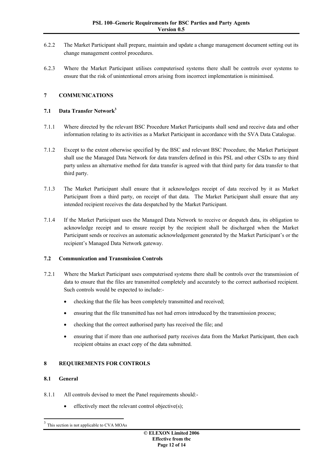- 6.2.2 The Market Participant shall prepare, maintain and update a change management document setting out its change management control procedures.
- 6.2.3 Where the Market Participant utilises computerised systems there shall be controls over systems to ensure that the risk of unintentional errors arising from incorrect implementation is minimised.

### <span id="page-11-0"></span>**7 COMMUNICATIONS**

#### <span id="page-11-1"></span>**7.1 Data Transfer Network[3](#page-11-5)**

- 7.1.1 Where directed by the relevant BSC Procedure Market Participants shall send and receive data and other information relating to its activities as a Market Participant in accordance with the SVA Data Catalogue.
- 7.1.2 Except to the extent otherwise specified by the BSC and relevant BSC Procedure, the Market Participant shall use the Managed Data Network for data transfers defined in this PSL and other CSDs to any third party unless an alternative method for data transfer is agreed with that third party for data transfer to that third party.
- 7.1.3 The Market Participant shall ensure that it acknowledges receipt of data received by it as Market Participant from a third party, on receipt of that data. The Market Participant shall ensure that any intended recipient receives the data despatched by the Market Participant.
- 7.1.4 If the Market Participant uses the Managed Data Network to receive or despatch data, its obligation to acknowledge receipt and to ensure receipt by the recipient shall be discharged when the Market Participant sends or receives an automatic acknowledgement generated by the Market Participant's or the recipient's Managed Data Network gateway.

#### <span id="page-11-2"></span>**7.2 Communication and Transmission Controls**

- 7.2.1 Where the Market Participant uses computerised systems there shall be controls over the transmission of data to ensure that the files are transmitted completely and accurately to the correct authorised recipient. Such controls would be expected to include:
	- checking that the file has been completely transmitted and received;
	- ensuring that the file transmitted has not had errors introduced by the transmission process;
	- · checking that the correct authorised party has received the file; and
	- · ensuring that if more than one authorised party receives data from the Market Participant, then each recipient obtains an exact copy of the data submitted.

## <span id="page-11-3"></span>**8 REQUIREMENTS FOR CONTROLS**

#### <span id="page-11-4"></span>**8.1 General**

- 8.1.1 All controls devised to meet the Panel requirements should:
	- effectively meet the relevant control objective(s):

<span id="page-11-5"></span><sup>3</sup> This section is not applicable to CVA MOAs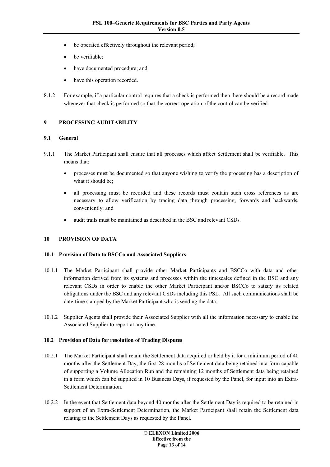- be operated effectively throughout the relevant period;
- be verifiable;
- have documented procedure; and
- have this operation recorded.
- 8.1.2 For example, if a particular control requires that a check is performed then there should be a record made whenever that check is performed so that the correct operation of the control can be verified.

#### <span id="page-12-0"></span>**9 PROCESSING AUDITABILITY**

#### <span id="page-12-1"></span>**9.1 General**

- 9.1.1 The Market Participant shall ensure that all processes which affect Settlement shall be verifiable. This means that:
	- · processes must be documented so that anyone wishing to verify the processing has a description of what it should be;
	- all processing must be recorded and these records must contain such cross references as are necessary to allow verification by tracing data through processing, forwards and backwards, conveniently; and
	- audit trails must be maintained as described in the BSC and relevant CSDs.

#### <span id="page-12-2"></span>**10 PROVISION OF DATA**

#### <span id="page-12-3"></span>**10.1 Provision of Data to BSCCo and Associated Suppliers**

- 10.1.1 The Market Participant shall provide other Market Participants and BSCCo with data and other information derived from its systems and processes within the timescales defined in the BSC and any relevant CSDs in order to enable the other Market Participant and/or BSCCo to satisfy its related obligations under the BSC and any relevant CSDs including this PSL. All such communications shall be date-time stamped by the Market Participant who is sending the data.
- 10.1.2 Supplier Agents shall provide their Associated Supplier with all the information necessary to enable the Associated Supplier to report at any time.

#### <span id="page-12-4"></span>**10.2 Provision of Data for resolution of Trading Disputes**

- 10.2.1 The Market Participant shall retain the Settlement data acquired or held by it for a minimum period of 40 months after the Settlement Day, the first 28 months of Settlement data being retained in a form capable of supporting a Volume Allocation Run and the remaining 12 months of Settlement data being retained in a form which can be supplied in 10 Business Days, if requested by the Panel, for input into an Extra-Settlement Determination.
- 10.2.2 In the event that Settlement data beyond 40 months after the Settlement Day is required to be retained in support of an Extra-Settlement Determination, the Market Participant shall retain the Settlement data relating to the Settlement Days as requested by the Panel.